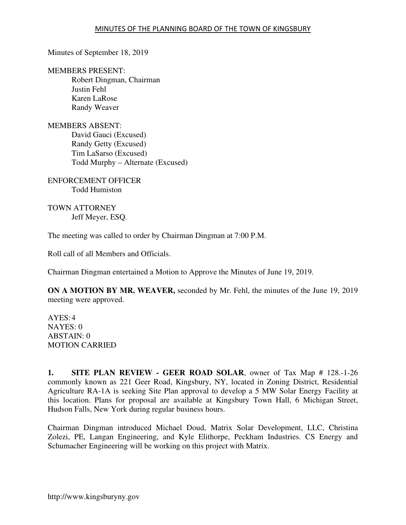Minutes of September 18, 2019

MEMBERS PRESENT: Robert Dingman, Chairman Justin Fehl Karen LaRose Randy Weaver

MEMBERS ABSENT: David Gauci (Excused) Randy Getty (Excused) Tim LaSarso (Excused) Todd Murphy – Alternate (Excused)

ENFORCEMENT OFFICER Todd Humiston

TOWN ATTORNEY Jeff Meyer, ESQ.

The meeting was called to order by Chairman Dingman at 7:00 P.M.

Roll call of all Members and Officials.

Chairman Dingman entertained a Motion to Approve the Minutes of June 19, 2019.

**ON A MOTION BY MR. WEAVER,** seconded by Mr. Fehl, the minutes of the June 19, 2019 meeting were approved.

AYES: 4 NAYES: 0 ABSTAIN: 0 MOTION CARRIED

**1. SITE PLAN REVIEW - GEER ROAD SOLAR**, owner of Tax Map # 128.-1-26 commonly known as 221 Geer Road, Kingsbury, NY, located in Zoning District, Residential Agriculture RA-1A is seeking Site Plan approval to develop a 5 MW Solar Energy Facility at this location. Plans for proposal are available at Kingsbury Town Hall, 6 Michigan Street, Hudson Falls, New York during regular business hours.

Chairman Dingman introduced Michael Doud, Matrix Solar Development, LLC, Christina Zolezi, PE, Langan Engineering, and Kyle Elithorpe, Peckham Industries. CS Energy and Schumacher Engineering will be working on this project with Matrix.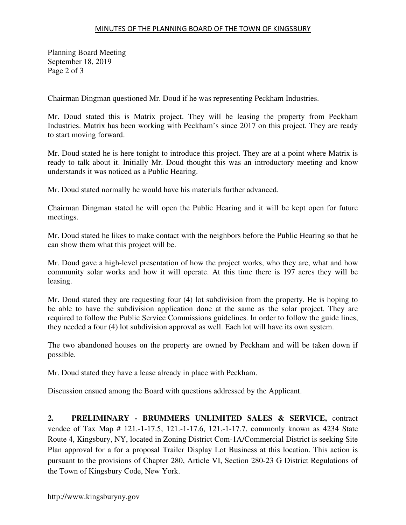## MINUTES OF THE PLANNING BOARD OF THE TOWN OF KINGSBURY

Planning Board Meeting September 18, 2019 Page 2 of 3

Chairman Dingman questioned Mr. Doud if he was representing Peckham Industries.

Mr. Doud stated this is Matrix project. They will be leasing the property from Peckham Industries. Matrix has been working with Peckham's since 2017 on this project. They are ready to start moving forward.

Mr. Doud stated he is here tonight to introduce this project. They are at a point where Matrix is ready to talk about it. Initially Mr. Doud thought this was an introductory meeting and know understands it was noticed as a Public Hearing.

Mr. Doud stated normally he would have his materials further advanced.

Chairman Dingman stated he will open the Public Hearing and it will be kept open for future meetings.

Mr. Doud stated he likes to make contact with the neighbors before the Public Hearing so that he can show them what this project will be.

Mr. Doud gave a high-level presentation of how the project works, who they are, what and how community solar works and how it will operate. At this time there is 197 acres they will be leasing.

Mr. Doud stated they are requesting four (4) lot subdivision from the property. He is hoping to be able to have the subdivision application done at the same as the solar project. They are required to follow the Public Service Commissions guidelines. In order to follow the guide lines, they needed a four (4) lot subdivision approval as well. Each lot will have its own system.

The two abandoned houses on the property are owned by Peckham and will be taken down if possible.

Mr. Doud stated they have a lease already in place with Peckham.

Discussion ensued among the Board with questions addressed by the Applicant.

**2. PRELIMINARY - BRUMMERS UNLIMITED SALES & SERVICE,** contract vendee of Tax Map # 121.-1-17.5, 121.-1-17.6, 121.-1-17.7, commonly known as 4234 State Route 4, Kingsbury, NY, located in Zoning District Com-1A/Commercial District is seeking Site Plan approval for a for a proposal Trailer Display Lot Business at this location. This action is pursuant to the provisions of Chapter 280, Article VI, Section 280-23 G District Regulations of the Town of Kingsbury Code, New York.